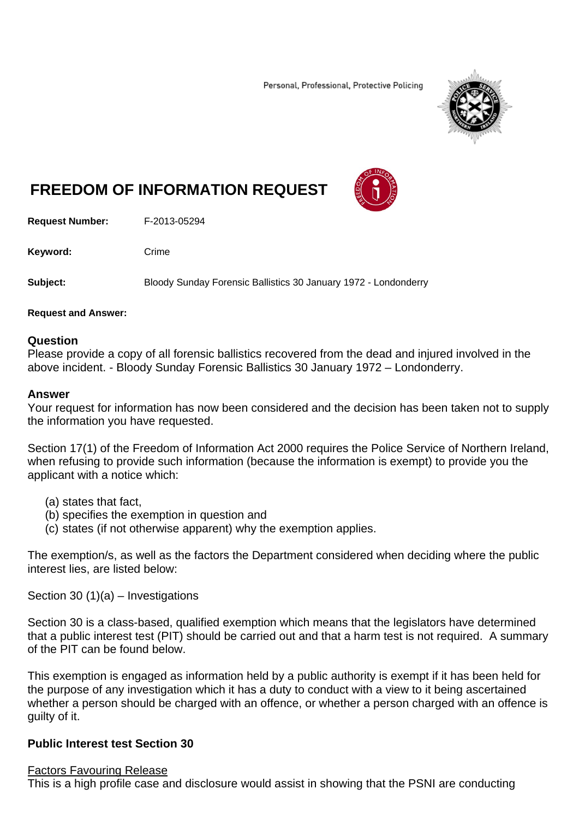Personal, Professional, Protective Policing



# **FREEDOM OF INFORMATION REQUEST**

**Request Number:** F-2013-05294

Keyword: Crime

**Subject:** Bloody Sunday Forensic Ballistics 30 January 1972 - Londonderry

### **Request and Answer:**

### **Question**

Please provide a copy of all forensic ballistics recovered from the dead and injured involved in the above incident. - Bloody Sunday Forensic Ballistics 30 January 1972 – Londonderry.

#### **Answer**

Your request for information has now been considered and the decision has been taken not to supply the information you have requested.

Section 17(1) of the Freedom of Information Act 2000 requires the Police Service of Northern Ireland, when refusing to provide such information (because the information is exempt) to provide you the applicant with a notice which:

- (a) states that fact,
- (b) specifies the exemption in question and
- (c) states (if not otherwise apparent) why the exemption applies.

The exemption/s, as well as the factors the Department considered when deciding where the public interest lies, are listed below:

Section 30  $(1)(a)$  – Investigations

Section 30 is a class-based, qualified exemption which means that the legislators have determined that a public interest test (PIT) should be carried out and that a harm test is not required. A summary of the PIT can be found below.

This exemption is engaged as information held by a public authority is exempt if it has been held for the purpose of any investigation which it has a duty to conduct with a view to it being ascertained whether a person should be charged with an offence, or whether a person charged with an offence is guilty of it.

## **Public Interest test Section 30**

#### Factors Favouring Release

This is a high profile case and disclosure would assist in showing that the PSNI are conducting